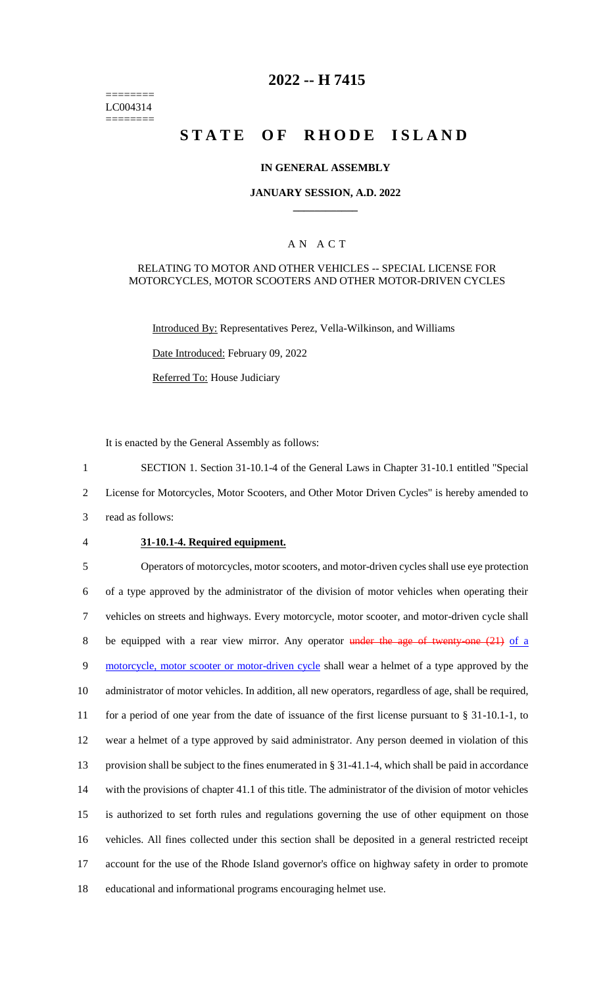======== LC004314 ========

## **2022 -- H 7415**

# **STATE OF RHODE ISLAND**

#### **IN GENERAL ASSEMBLY**

#### **JANUARY SESSION, A.D. 2022 \_\_\_\_\_\_\_\_\_\_\_\_**

#### A N A C T

#### RELATING TO MOTOR AND OTHER VEHICLES -- SPECIAL LICENSE FOR MOTORCYCLES, MOTOR SCOOTERS AND OTHER MOTOR-DRIVEN CYCLES

Introduced By: Representatives Perez, Vella-Wilkinson, and Williams

Date Introduced: February 09, 2022

Referred To: House Judiciary

It is enacted by the General Assembly as follows:

1 SECTION 1. Section 31-10.1-4 of the General Laws in Chapter 31-10.1 entitled "Special 2 License for Motorcycles, Motor Scooters, and Other Motor Driven Cycles" is hereby amended to

- 3 read as follows:
- 

#### 4 **31-10.1-4. Required equipment.**

 Operators of motorcycles, motor scooters, and motor-driven cycles shall use eye protection of a type approved by the administrator of the division of motor vehicles when operating their vehicles on streets and highways. Every motorcycle, motor scooter, and motor-driven cycle shall 8 be equipped with a rear view mirror. Any operator under the age of twenty-one (21) of a 9 motorcycle, motor scooter or motor-driven cycle shall wear a helmet of a type approved by the administrator of motor vehicles. In addition, all new operators, regardless of age, shall be required, for a period of one year from the date of issuance of the first license pursuant to § 31-10.1-1, to wear a helmet of a type approved by said administrator. Any person deemed in violation of this provision shall be subject to the fines enumerated in § 31-41.1-4, which shall be paid in accordance with the provisions of chapter 41.1 of this title. The administrator of the division of motor vehicles is authorized to set forth rules and regulations governing the use of other equipment on those vehicles. All fines collected under this section shall be deposited in a general restricted receipt account for the use of the Rhode Island governor's office on highway safety in order to promote educational and informational programs encouraging helmet use.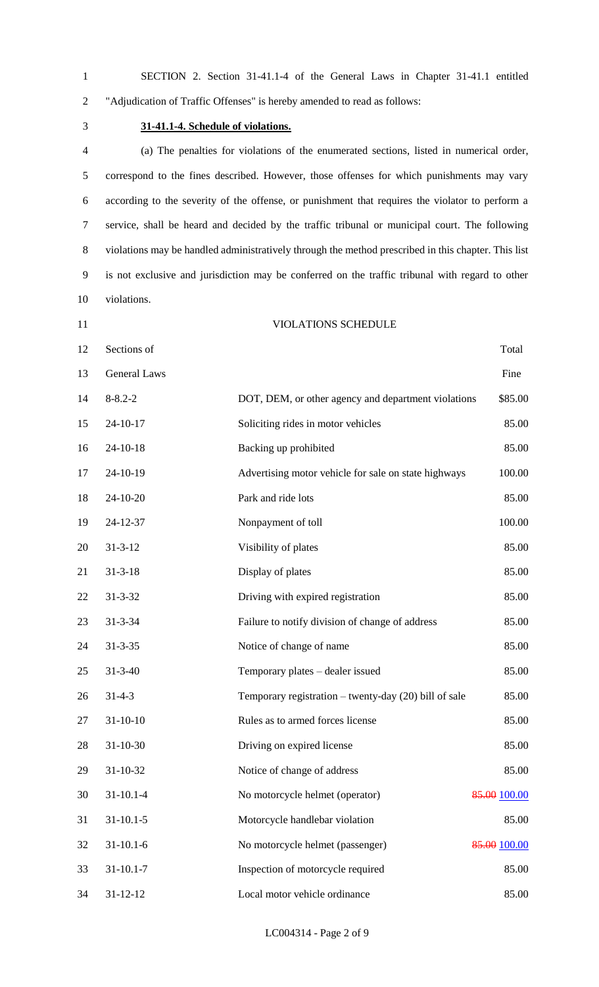|   | SECTION 2. Section 31-41.1-4 of the General Laws in Chapter 31-41.1 entitled |  |  |  |  |
|---|------------------------------------------------------------------------------|--|--|--|--|
| 2 | "Adjudication of Traffic Offenses" is hereby amended to read as follows:     |  |  |  |  |

### **31-41.1-4. Schedule of violations.**

 (a) The penalties for violations of the enumerated sections, listed in numerical order, correspond to the fines described. However, those offenses for which punishments may vary according to the severity of the offense, or punishment that requires the violator to perform a service, shall be heard and decided by the traffic tribunal or municipal court. The following violations may be handled administratively through the method prescribed in this chapter. This list is not exclusive and jurisdiction may be conferred on the traffic tribunal with regard to other violations.

- 
- VIOLATIONS SCHEDULE

| 12 | Sections of         |                                                         | Total        |
|----|---------------------|---------------------------------------------------------|--------------|
| 13 | <b>General Laws</b> |                                                         | Fine         |
| 14 | $8 - 8.2 - 2$       | DOT, DEM, or other agency and department violations     | \$85.00      |
| 15 | $24 - 10 - 17$      | Soliciting rides in motor vehicles                      | 85.00        |
| 16 | $24 - 10 - 18$      | Backing up prohibited                                   | 85.00        |
| 17 | 24-10-19            | Advertising motor vehicle for sale on state highways    | 100.00       |
| 18 | $24-10-20$          | Park and ride lots                                      | 85.00        |
| 19 | 24-12-37            | Nonpayment of toll                                      | 100.00       |
| 20 | $31 - 3 - 12$       | Visibility of plates                                    | 85.00        |
| 21 | $31 - 3 - 18$       | Display of plates                                       | 85.00        |
| 22 | $31 - 3 - 32$       | Driving with expired registration                       | 85.00        |
| 23 | $31 - 3 - 34$       | Failure to notify division of change of address         | 85.00        |
| 24 | $31 - 3 - 35$       | Notice of change of name                                | 85.00        |
| 25 | $31 - 3 - 40$       | Temporary plates - dealer issued                        | 85.00        |
| 26 | $31 - 4 - 3$        | Temporary registration $-$ twenty-day (20) bill of sale | 85.00        |
| 27 | $31 - 10 - 10$      | Rules as to armed forces license                        | 85.00        |
| 28 | $31 - 10 - 30$      | Driving on expired license                              | 85.00        |
| 29 | $31 - 10 - 32$      | Notice of change of address                             | 85.00        |
| 30 | $31 - 10.1 - 4$     | No motorcycle helmet (operator)                         | 85.00 100.00 |
| 31 | $31 - 10.1 - 5$     | Motorcycle handlebar violation                          | 85.00        |
| 32 | $31 - 10.1 - 6$     | No motorcycle helmet (passenger)                        | 85.00 100.00 |
| 33 | $31 - 10.1 - 7$     | Inspection of motorcycle required                       | 85.00        |
| 34 | 31-12-12            | Local motor vehicle ordinance                           | 85.00        |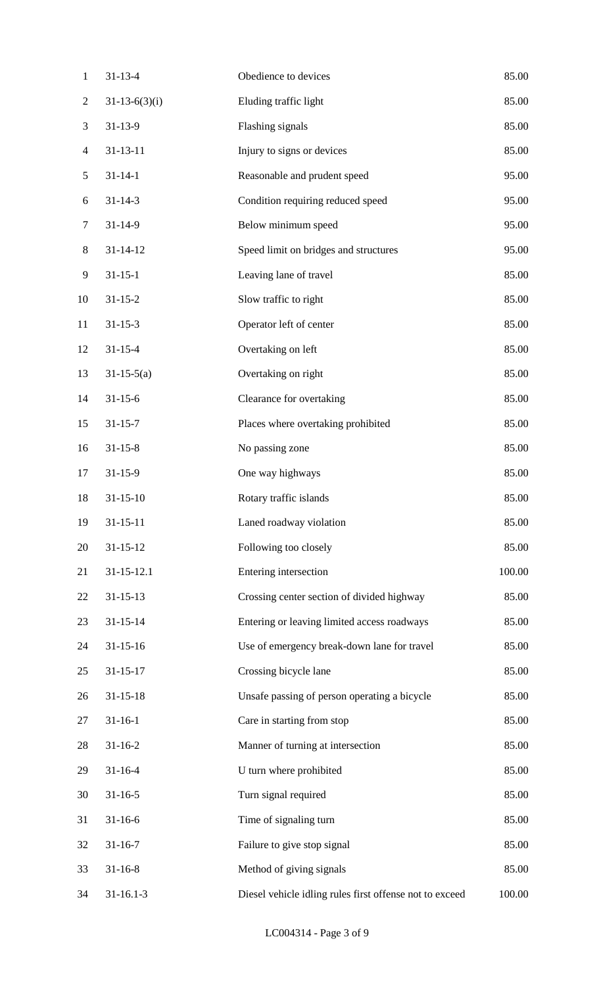| $\mathbf{1}$   | $31 - 13 - 4$    | Obedience to devices                                    | 85.00  |
|----------------|------------------|---------------------------------------------------------|--------|
| $\overline{c}$ | $31-13-6(3)(i)$  | Eluding traffic light                                   | 85.00  |
| 3              | $31 - 13 - 9$    | Flashing signals                                        | 85.00  |
| $\overline{4}$ | $31 - 13 - 11$   | Injury to signs or devices                              | 85.00  |
| 5              | $31 - 14 - 1$    | Reasonable and prudent speed                            | 95.00  |
| 6              | $31 - 14 - 3$    | Condition requiring reduced speed                       | 95.00  |
| $\tau$         | $31 - 14 - 9$    | Below minimum speed                                     | 95.00  |
| $8\,$          | $31 - 14 - 12$   | Speed limit on bridges and structures                   | 95.00  |
| 9              | $31 - 15 - 1$    | Leaving lane of travel                                  | 85.00  |
| 10             | $31 - 15 - 2$    | Slow traffic to right                                   | 85.00  |
| 11             | $31 - 15 - 3$    | Operator left of center                                 | 85.00  |
| 12             | $31 - 15 - 4$    | Overtaking on left                                      | 85.00  |
| 13             | $31-15-5(a)$     | Overtaking on right                                     | 85.00  |
| 14             | $31 - 15 - 6$    | Clearance for overtaking                                | 85.00  |
| 15             | $31 - 15 - 7$    | Places where overtaking prohibited                      | 85.00  |
| 16             | $31 - 15 - 8$    | No passing zone                                         | 85.00  |
| 17             | $31 - 15 - 9$    | One way highways                                        | 85.00  |
| 18             | $31 - 15 - 10$   | Rotary traffic islands                                  | 85.00  |
| 19             | $31 - 15 - 11$   | Laned roadway violation                                 | 85.00  |
| 20             | $31 - 15 - 12$   | Following too closely                                   | 85.00  |
| 21             | $31 - 15 - 12.1$ | Entering intersection                                   | 100.00 |
| 22             | $31 - 15 - 13$   | Crossing center section of divided highway              | 85.00  |
| 23             | $31 - 15 - 14$   | Entering or leaving limited access roadways             | 85.00  |
| 24             | $31 - 15 - 16$   | Use of emergency break-down lane for travel             | 85.00  |
| 25             | $31 - 15 - 17$   | Crossing bicycle lane                                   | 85.00  |
| 26             | $31 - 15 - 18$   | Unsafe passing of person operating a bicycle            | 85.00  |
| 27             | $31 - 16 - 1$    | Care in starting from stop                              | 85.00  |
| 28             | $31 - 16 - 2$    | Manner of turning at intersection                       | 85.00  |
| 29             | $31 - 16 - 4$    | U turn where prohibited                                 | 85.00  |
| 30             | $31 - 16 - 5$    | Turn signal required                                    | 85.00  |
| 31             | $31 - 16 - 6$    | Time of signaling turn                                  | 85.00  |
| 32             | $31 - 16 - 7$    | Failure to give stop signal                             | 85.00  |
| 33             | $31 - 16 - 8$    | Method of giving signals                                | 85.00  |
| 34             | $31 - 16.1 - 3$  | Diesel vehicle idling rules first offense not to exceed | 100.00 |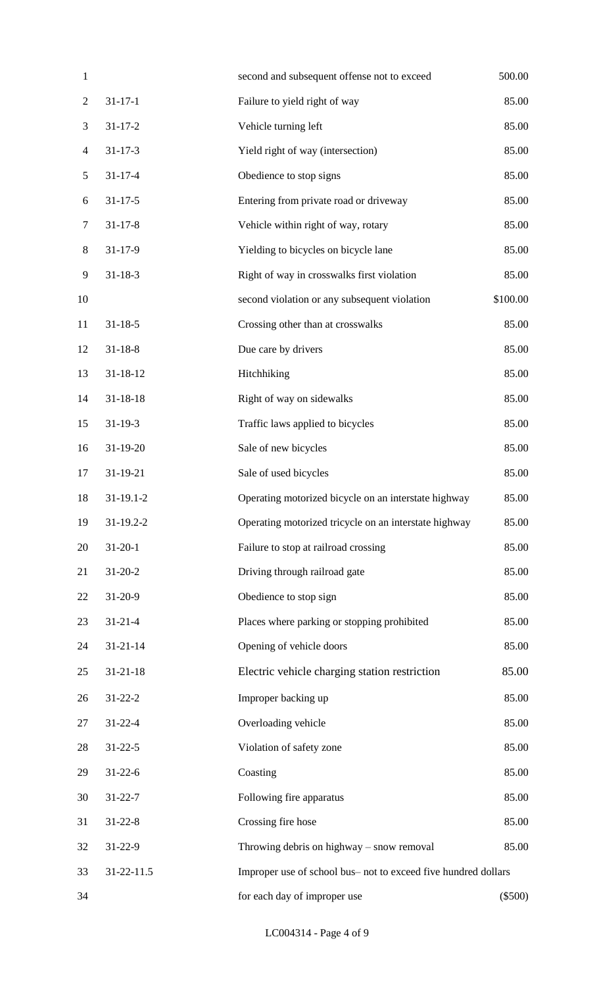| $\mathbf{1}$             |                | second and subsequent offense not to exceed                    | 500.00    |
|--------------------------|----------------|----------------------------------------------------------------|-----------|
| $\overline{c}$           | $31 - 17 - 1$  | Failure to yield right of way                                  | 85.00     |
| 3                        | $31 - 17 - 2$  | Vehicle turning left                                           | 85.00     |
| $\overline{\mathcal{A}}$ | $31 - 17 - 3$  | Yield right of way (intersection)                              | 85.00     |
| 5                        | $31 - 17 - 4$  | Obedience to stop signs                                        | 85.00     |
| 6                        | $31 - 17 - 5$  | Entering from private road or driveway                         | 85.00     |
| $\tau$                   | $31 - 17 - 8$  | Vehicle within right of way, rotary                            | 85.00     |
| $8\,$                    | $31 - 17 - 9$  | Yielding to bicycles on bicycle lane                           | 85.00     |
| 9                        | $31 - 18 - 3$  | Right of way in crosswalks first violation                     | 85.00     |
| 10                       |                | second violation or any subsequent violation                   | \$100.00  |
| 11                       | $31 - 18 - 5$  | Crossing other than at crosswalks                              | 85.00     |
| 12                       | $31 - 18 - 8$  | Due care by drivers                                            | 85.00     |
| 13                       | $31 - 18 - 12$ | Hitchhiking                                                    | 85.00     |
| 14                       | $31 - 18 - 18$ | Right of way on sidewalks                                      | 85.00     |
| 15                       | $31 - 19 - 3$  | Traffic laws applied to bicycles                               | 85.00     |
| 16                       | $31-19-20$     | Sale of new bicycles                                           | 85.00     |
| 17                       | 31-19-21       | Sale of used bicycles                                          | 85.00     |
| 18                       | $31-19.1-2$    | Operating motorized bicycle on an interstate highway           | 85.00     |
| 19                       | 31-19.2-2      | Operating motorized tricycle on an interstate highway          | 85.00     |
| 20                       | $31 - 20 - 1$  | Failure to stop at railroad crossing                           | 85.00     |
| 21                       | $31 - 20 - 2$  | Driving through railroad gate                                  | 85.00     |
| 22                       | $31 - 20 - 9$  | Obedience to stop sign                                         | 85.00     |
| 23                       | $31 - 21 - 4$  | Places where parking or stopping prohibited                    | 85.00     |
| 24                       | $31 - 21 - 14$ | Opening of vehicle doors                                       | 85.00     |
| 25                       | $31 - 21 - 18$ | Electric vehicle charging station restriction                  | 85.00     |
| 26                       | $31 - 22 - 2$  | Improper backing up                                            | 85.00     |
| 27                       | $31 - 22 - 4$  | Overloading vehicle                                            | 85.00     |
| 28                       | $31 - 22 - 5$  | Violation of safety zone                                       | 85.00     |
| 29                       | $31 - 22 - 6$  | Coasting                                                       | 85.00     |
| 30                       | $31 - 22 - 7$  | Following fire apparatus                                       | 85.00     |
| 31                       | $31 - 22 - 8$  | Crossing fire hose                                             | 85.00     |
| 32                       | $31 - 22 - 9$  | Throwing debris on highway $-$ snow removal                    | 85.00     |
| 33                       | 31-22-11.5     | Improper use of school bus- not to exceed five hundred dollars |           |
| 34                       |                | for each day of improper use                                   | $(\$500)$ |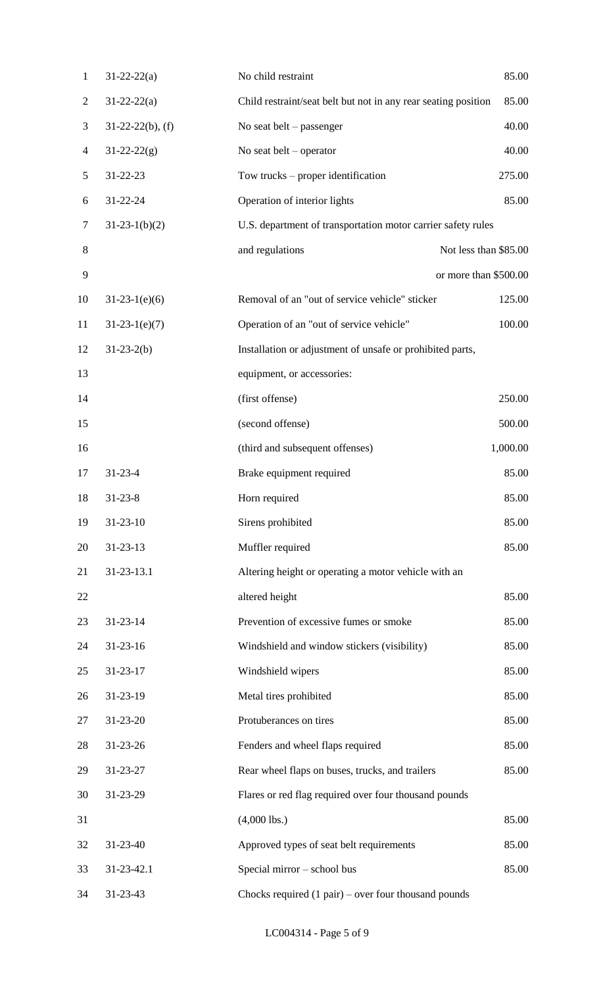| $\mathbf{1}$   | $31 - 22 - 22(a)$   | No child restraint                                             | 85.00                 |
|----------------|---------------------|----------------------------------------------------------------|-----------------------|
| $\overline{2}$ | $31 - 22 - 22(a)$   | Child restraint/seat belt but not in any rear seating position | 85.00                 |
| 3              | $31-22-22(b)$ , (f) | No seat belt $-$ passenger                                     | 40.00                 |
| $\overline{4}$ | $31 - 22 - 22(g)$   | No seat belt $-$ operator                                      | 40.00                 |
| 5              | 31-22-23            | Tow trucks $-$ proper identification                           | 275.00                |
| 6              | 31-22-24            | Operation of interior lights                                   | 85.00                 |
| 7              | $31-23-1(b)(2)$     | U.S. department of transportation motor carrier safety rules   |                       |
| 8              |                     | and regulations                                                | Not less than \$85.00 |
| 9              |                     |                                                                | or more than \$500.00 |
| 10             | $31-23-1(e)(6)$     | Removal of an "out of service vehicle" sticker                 | 125.00                |
| 11             | $31-23-1(e)(7)$     | Operation of an "out of service vehicle"                       | 100.00                |
| 12             | $31-23-2(b)$        | Installation or adjustment of unsafe or prohibited parts,      |                       |
| 13             |                     | equipment, or accessories:                                     |                       |
| 14             |                     | (first offense)                                                | 250.00                |
| 15             |                     | (second offense)                                               | 500.00                |
| 16             |                     | (third and subsequent offenses)                                | 1,000.00              |
| 17             | $31 - 23 - 4$       | Brake equipment required                                       | 85.00                 |
| 18             | $31 - 23 - 8$       | Horn required                                                  | 85.00                 |
| 19             | $31 - 23 - 10$      | Sirens prohibited                                              | 85.00                 |
| 20             | $31 - 23 - 13$      | Muffler required                                               | 85.00                 |
| 21             | 31-23-13.1          | Altering height or operating a motor vehicle with an           |                       |
| 22             |                     | altered height                                                 | 85.00                 |
| 23             | $31 - 23 - 14$      | Prevention of excessive fumes or smoke                         | 85.00                 |
| 24             | $31 - 23 - 16$      | Windshield and window stickers (visibility)                    | 85.00                 |
| 25             | $31 - 23 - 17$      | Windshield wipers                                              | 85.00                 |
| 26             | 31-23-19            | Metal tires prohibited                                         | 85.00                 |
| 27             | 31-23-20            | Protuberances on tires                                         | 85.00                 |
| 28             | 31-23-26            | Fenders and wheel flaps required                               | 85.00                 |
| 29             | 31-23-27            | Rear wheel flaps on buses, trucks, and trailers                | 85.00                 |
| 30             | 31-23-29            | Flares or red flag required over four thousand pounds          |                       |
| 31             |                     | $(4,000$ lbs.)                                                 | 85.00                 |
| 32             | 31-23-40            | Approved types of seat belt requirements                       | 85.00                 |
| 33             | 31-23-42.1          | Special mirror - school bus                                    | 85.00                 |
| 34             | 31-23-43            | Chocks required $(1 \text{ pair})$ – over four thousand pounds |                       |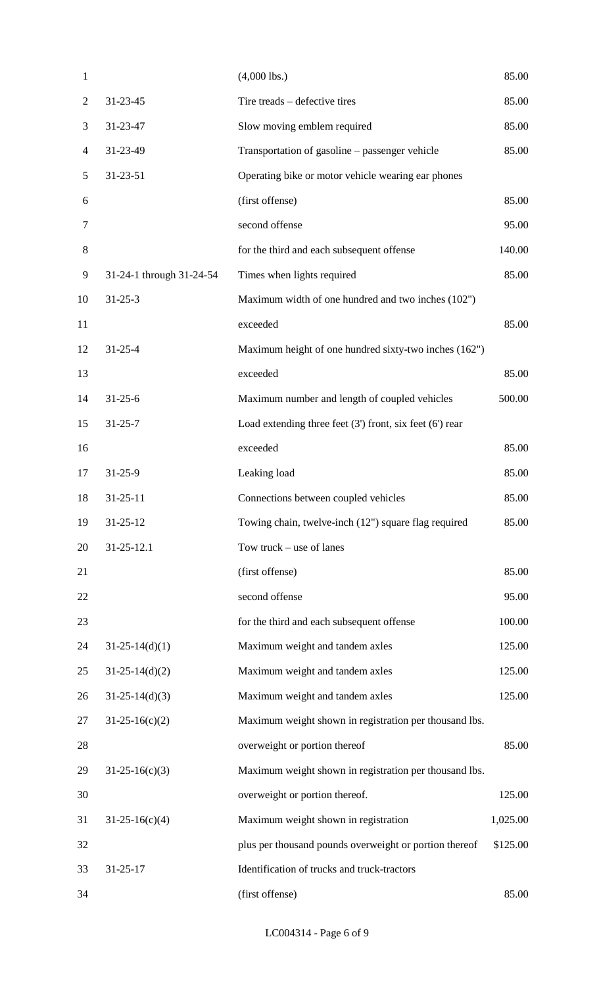| $\mathbf{1}$   |                          | $(4,000$ lbs.)                                               | 85.00    |
|----------------|--------------------------|--------------------------------------------------------------|----------|
| $\overline{2}$ | $31 - 23 - 45$           | Tire treads – defective tires                                | 85.00    |
| 3              | 31-23-47                 | Slow moving emblem required                                  | 85.00    |
| $\overline{4}$ | 31-23-49                 | Transportation of gasoline – passenger vehicle               | 85.00    |
| 5              | $31 - 23 - 51$           | Operating bike or motor vehicle wearing ear phones           |          |
| 6              |                          | (first offense)                                              | 85.00    |
| $\tau$         |                          | second offense                                               | 95.00    |
| 8              |                          | for the third and each subsequent offense                    | 140.00   |
| 9              | 31-24-1 through 31-24-54 | Times when lights required                                   | 85.00    |
| 10             | $31 - 25 - 3$            | Maximum width of one hundred and two inches (102")           |          |
| 11             |                          | exceeded                                                     | 85.00    |
| 12             | $31 - 25 - 4$            | Maximum height of one hundred sixty-two inches (162")        |          |
| 13             |                          | exceeded                                                     | 85.00    |
| 14             | $31 - 25 - 6$            | Maximum number and length of coupled vehicles                | 500.00   |
| 15             | $31 - 25 - 7$            | Load extending three feet $(3')$ front, six feet $(6')$ rear |          |
| 16             |                          | exceeded                                                     | 85.00    |
| 17             | $31 - 25 - 9$            | Leaking load                                                 | 85.00    |
| 18             | $31 - 25 - 11$           | Connections between coupled vehicles                         | 85.00    |
| 19             | $31 - 25 - 12$           | Towing chain, twelve-inch (12") square flag required         | 85.00    |
| 20             | $31 - 25 - 12.1$         | Tow truck – use of lanes                                     |          |
| 21             |                          | (first offense)                                              | 85.00    |
| 22             |                          | second offense                                               | 95.00    |
| 23             |                          | for the third and each subsequent offense                    | 100.00   |
| 24             | $31-25-14(d)(1)$         | Maximum weight and tandem axles                              | 125.00   |
| 25             | $31-25-14(d)(2)$         | Maximum weight and tandem axles                              | 125.00   |
| 26             | $31-25-14(d)(3)$         | Maximum weight and tandem axles                              | 125.00   |
| 27             | $31-25-16(c)(2)$         | Maximum weight shown in registration per thousand lbs.       |          |
| 28             |                          | overweight or portion thereof                                | 85.00    |
| 29             | $31-25-16(c)(3)$         | Maximum weight shown in registration per thousand lbs.       |          |
| 30             |                          | overweight or portion thereof.                               | 125.00   |
| 31             | $31-25-16(c)(4)$         | Maximum weight shown in registration                         | 1,025.00 |
| 32             |                          | plus per thousand pounds overweight or portion thereof       | \$125.00 |
| 33             | $31 - 25 - 17$           | Identification of trucks and truck-tractors                  |          |
| 34             |                          | (first offense)                                              | 85.00    |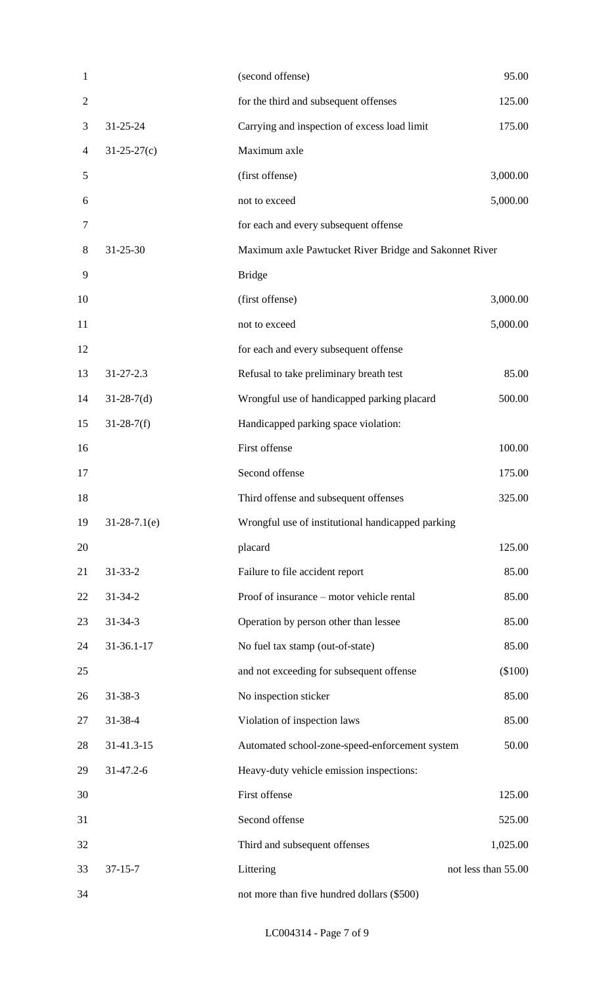| $\mathbf{1}$   |                 | (second offense)                                       | 95.00               |
|----------------|-----------------|--------------------------------------------------------|---------------------|
| $\overline{2}$ |                 | for the third and subsequent offenses                  | 125.00              |
| 3              | $31 - 25 - 24$  | Carrying and inspection of excess load limit           | 175.00              |
| 4              | $31-25-27(c)$   | Maximum axle                                           |                     |
| 5              |                 | (first offense)                                        | 3,000.00            |
| 6              |                 | not to exceed                                          | 5,000.00            |
| 7              |                 | for each and every subsequent offense                  |                     |
| 8              | $31 - 25 - 30$  | Maximum axle Pawtucket River Bridge and Sakonnet River |                     |
| 9              |                 | <b>Bridge</b>                                          |                     |
| 10             |                 | (first offense)                                        | 3,000.00            |
| 11             |                 | not to exceed                                          | 5,000.00            |
| 12             |                 | for each and every subsequent offense                  |                     |
| 13             | $31 - 27 - 2.3$ | Refusal to take preliminary breath test                | 85.00               |
| 14             | $31-28-7(d)$    | Wrongful use of handicapped parking placard            | 500.00              |
| 15             | $31-28-7(f)$    | Handicapped parking space violation:                   |                     |
| 16             |                 | First offense                                          | 100.00              |
| 17             |                 | Second offense                                         | 175.00              |
| 18             |                 | Third offense and subsequent offenses                  | 325.00              |
| 19             | $31-28-7.1(e)$  | Wrongful use of institutional handicapped parking      |                     |
| 20             |                 | placard                                                | 125.00              |
| 21             | $31 - 33 - 2$   | Failure to file accident report                        | 85.00               |
| 22             | $31 - 34 - 2$   | Proof of insurance – motor vehicle rental              | 85.00               |
| 23             | $31 - 34 - 3$   | Operation by person other than lessee                  | 85.00               |
| 24             | 31-36.1-17      | No fuel tax stamp (out-of-state)                       | 85.00               |
| 25             |                 | and not exceeding for subsequent offense               | $(\$100)$           |
| 26             | $31 - 38 - 3$   | No inspection sticker                                  | 85.00               |
| 27             | 31-38-4         | Violation of inspection laws                           | 85.00               |
| 28             | 31-41.3-15      | Automated school-zone-speed-enforcement system         | 50.00               |
| 29             | 31-47.2-6       | Heavy-duty vehicle emission inspections:               |                     |
| 30             |                 | First offense                                          | 125.00              |
| 31             |                 | Second offense                                         | 525.00              |
| 32             |                 | Third and subsequent offenses                          | 1,025.00            |
| 33             | $37 - 15 - 7$   | Littering                                              | not less than 55.00 |
| 34             |                 | not more than five hundred dollars (\$500)             |                     |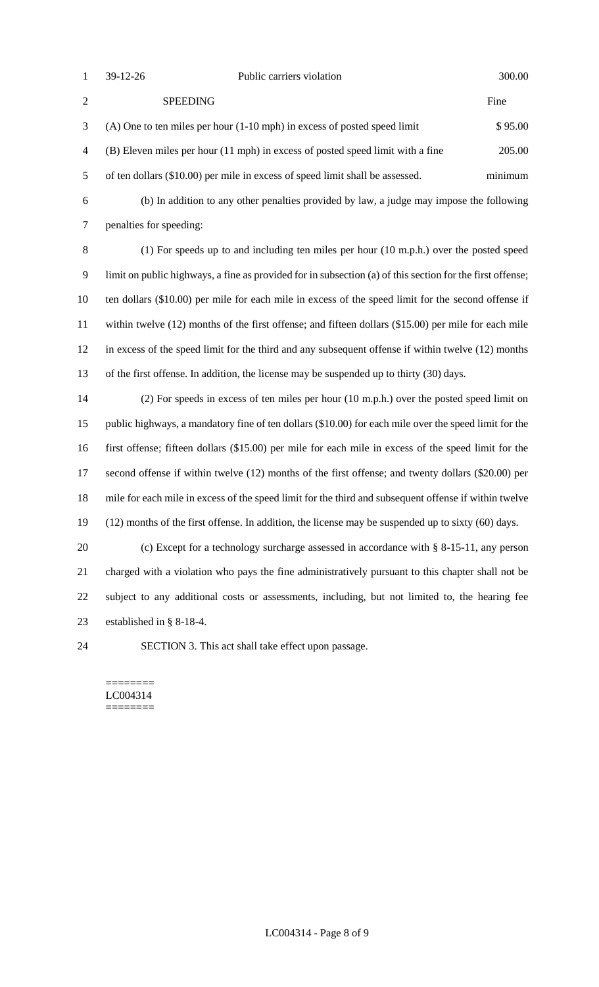| 39-12-26 |
|----------|
|          |

| 2              | <b>SPEEDING</b>                                                                | Fine    |
|----------------|--------------------------------------------------------------------------------|---------|
|                | $(A)$ One to ten miles per hour $(1-10$ mph) in excess of posted speed limit   | \$95.00 |
| $\overline{4}$ | (B) Eleven miles per hour (11 mph) in excess of posted speed limit with a fine | 205.00  |
| .5             | of ten dollars (\$10.00) per mile in excess of speed limit shall be assessed.  | minimum |

 (b) In addition to any other penalties provided by law, a judge may impose the following penalties for speeding:

 (1) For speeds up to and including ten miles per hour (10 m.p.h.) over the posted speed limit on public highways, a fine as provided for in subsection (a) of this section for the first offense; ten dollars (\$10.00) per mile for each mile in excess of the speed limit for the second offense if within twelve (12) months of the first offense; and fifteen dollars (\$15.00) per mile for each mile in excess of the speed limit for the third and any subsequent offense if within twelve (12) months of the first offense. In addition, the license may be suspended up to thirty (30) days.

 (2) For speeds in excess of ten miles per hour (10 m.p.h.) over the posted speed limit on public highways, a mandatory fine of ten dollars (\$10.00) for each mile over the speed limit for the first offense; fifteen dollars (\$15.00) per mile for each mile in excess of the speed limit for the second offense if within twelve (12) months of the first offense; and twenty dollars (\$20.00) per mile for each mile in excess of the speed limit for the third and subsequent offense if within twelve (12) months of the first offense. In addition, the license may be suspended up to sixty (60) days.

 (c) Except for a technology surcharge assessed in accordance with § 8-15-11, any person charged with a violation who pays the fine administratively pursuant to this chapter shall not be subject to any additional costs or assessments, including, but not limited to, the hearing fee established in § 8-18-4.

SECTION 3. This act shall take effect upon passage.

======== LC004314 ========